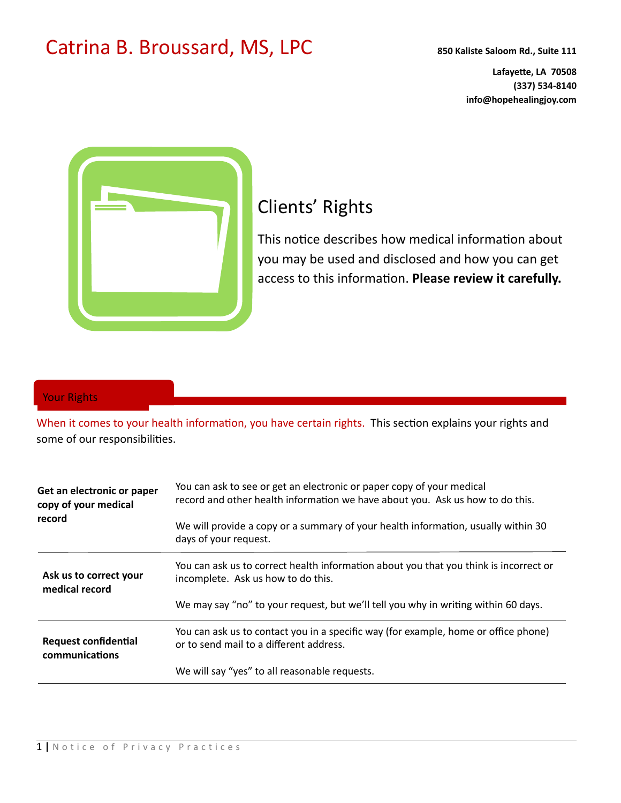## Catrina B. Broussard, MS, LPC **850 Kaliste Saloom Rd., Suite 111**

**Lafayette, LA 70508 (337) 534-8140 info@hopehealingjoy.com** 



# Clients' Rights

This notice describes how medical information about you may be used and disclosed and how you can get access to this information. Please review it carefully.

## Your Rights

When it comes to your health information, you have certain rights. This section explains your rights and some of our responsibilities.

| Get an electronic or paper<br>copy of your medical<br>record | You can ask to see or get an electronic or paper copy of your medical<br>record and other health information we have about you. Ask us how to do this. |
|--------------------------------------------------------------|--------------------------------------------------------------------------------------------------------------------------------------------------------|
|                                                              | We will provide a copy or a summary of your health information, usually within 30<br>days of your request.                                             |
| Ask us to correct your<br>medical record                     | You can ask us to correct health information about you that you think is incorrect or<br>incomplete. Ask us how to do this.                            |
|                                                              | We may say "no" to your request, but we'll tell you why in writing within 60 days.                                                                     |
| <b>Request confidential</b><br>communications                | You can ask us to contact you in a specific way (for example, home or office phone)<br>or to send mail to a different address.                         |
|                                                              | We will say "yes" to all reasonable requests.                                                                                                          |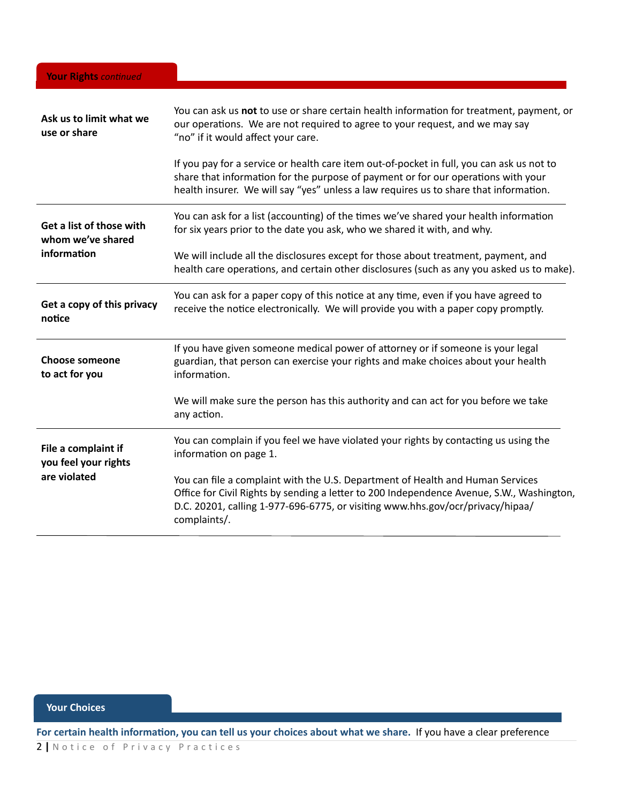| Ask us to limit what we<br>use or share                     | You can ask us not to use or share certain health information for treatment, payment, or<br>our operations. We are not required to agree to your request, and we may say<br>"no" if it would affect your care.                                                                |
|-------------------------------------------------------------|-------------------------------------------------------------------------------------------------------------------------------------------------------------------------------------------------------------------------------------------------------------------------------|
|                                                             | If you pay for a service or health care item out-of-pocket in full, you can ask us not to<br>share that information for the purpose of payment or for our operations with your<br>health insurer. We will say "yes" unless a law requires us to share that information.       |
| Get a list of those with<br>whom we've shared               | You can ask for a list (accounting) of the times we've shared your health information<br>for six years prior to the date you ask, who we shared it with, and why.                                                                                                             |
| information                                                 | We will include all the disclosures except for those about treatment, payment, and<br>health care operations, and certain other disclosures (such as any you asked us to make).                                                                                               |
| Get a copy of this privacy<br>notice                        | You can ask for a paper copy of this notice at any time, even if you have agreed to<br>receive the notice electronically. We will provide you with a paper copy promptly.                                                                                                     |
| <b>Choose someone</b><br>to act for you                     | If you have given someone medical power of attorney or if someone is your legal<br>guardian, that person can exercise your rights and make choices about your health<br>information.                                                                                          |
|                                                             | We will make sure the person has this authority and can act for you before we take<br>any action.                                                                                                                                                                             |
| File a complaint if<br>you feel your rights<br>are violated | You can complain if you feel we have violated your rights by contacting us using the<br>information on page 1.                                                                                                                                                                |
|                                                             | You can file a complaint with the U.S. Department of Health and Human Services<br>Office for Civil Rights by sending a letter to 200 Independence Avenue, S.W., Washington,<br>D.C. 20201, calling 1-977-696-6775, or visiting www.hhs.gov/ocr/privacy/hipaa/<br>complaints/. |

## **Your Choices**

For certain health information, you can tell us your choices about what we share. If you have a clear preference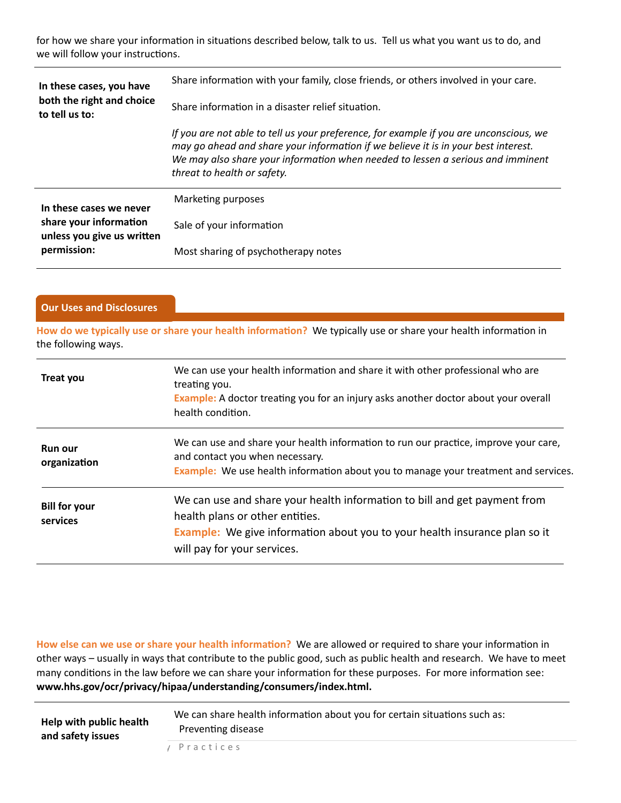for how we share your information in situations described below, talk to us. Tell us what you want us to do, and we will follow your instructions.

| In these cases, you have<br>both the right and choice<br>to tell us to:                        | Share information with your family, close friends, or others involved in your care.<br>Share information in a disaster relief situation.                                                                                                                                                       |
|------------------------------------------------------------------------------------------------|------------------------------------------------------------------------------------------------------------------------------------------------------------------------------------------------------------------------------------------------------------------------------------------------|
|                                                                                                | If you are not able to tell us your preference, for example if you are unconscious, we<br>may go ahead and share your information if we believe it is in your best interest.<br>We may also share your information when needed to lessen a serious and imminent<br>threat to health or safety. |
| In these cases we never<br>share your information<br>unless you give us written<br>permission: | Marketing purposes                                                                                                                                                                                                                                                                             |
|                                                                                                | Sale of your information                                                                                                                                                                                                                                                                       |
|                                                                                                | Most sharing of psychotherapy notes                                                                                                                                                                                                                                                            |

### **Our Uses and Disclosures**

How do we typically use or share your health information? We typically use or share your health information in the following ways.

| Treat you                        | We can use your health information and share it with other professional who are<br>treating you.<br><b>Example:</b> A doctor treating you for an injury asks another doctor about your overall<br>health condition.       |
|----------------------------------|---------------------------------------------------------------------------------------------------------------------------------------------------------------------------------------------------------------------------|
| <b>Run our</b><br>organization   | We can use and share your health information to run our practice, improve your care,<br>and contact you when necessary.<br>Example: We use health information about you to manage your treatment and services.            |
| <b>Bill for your</b><br>services | We can use and share your health information to bill and get payment from<br>health plans or other entities.<br>Example: We give information about you to your health insurance plan so it<br>will pay for your services. |

How else can we use or share your health information? We are allowed or required to share your information in other ways – usually in ways that contribute to the public good, such as public health and research. We have to meet many conditions in the law before we can share your information for these purposes. For more information see: **www.hhs.gov/ocr/privacy/hipaa/understanding/consumers/index.html.** 

| Help with public health | We can share health information about you for certain situations such as: |
|-------------------------|---------------------------------------------------------------------------|
| and safety issues       | Preventing disease                                                        |
|                         |                                                                           |

3 **|** Notice of Privacy Practices